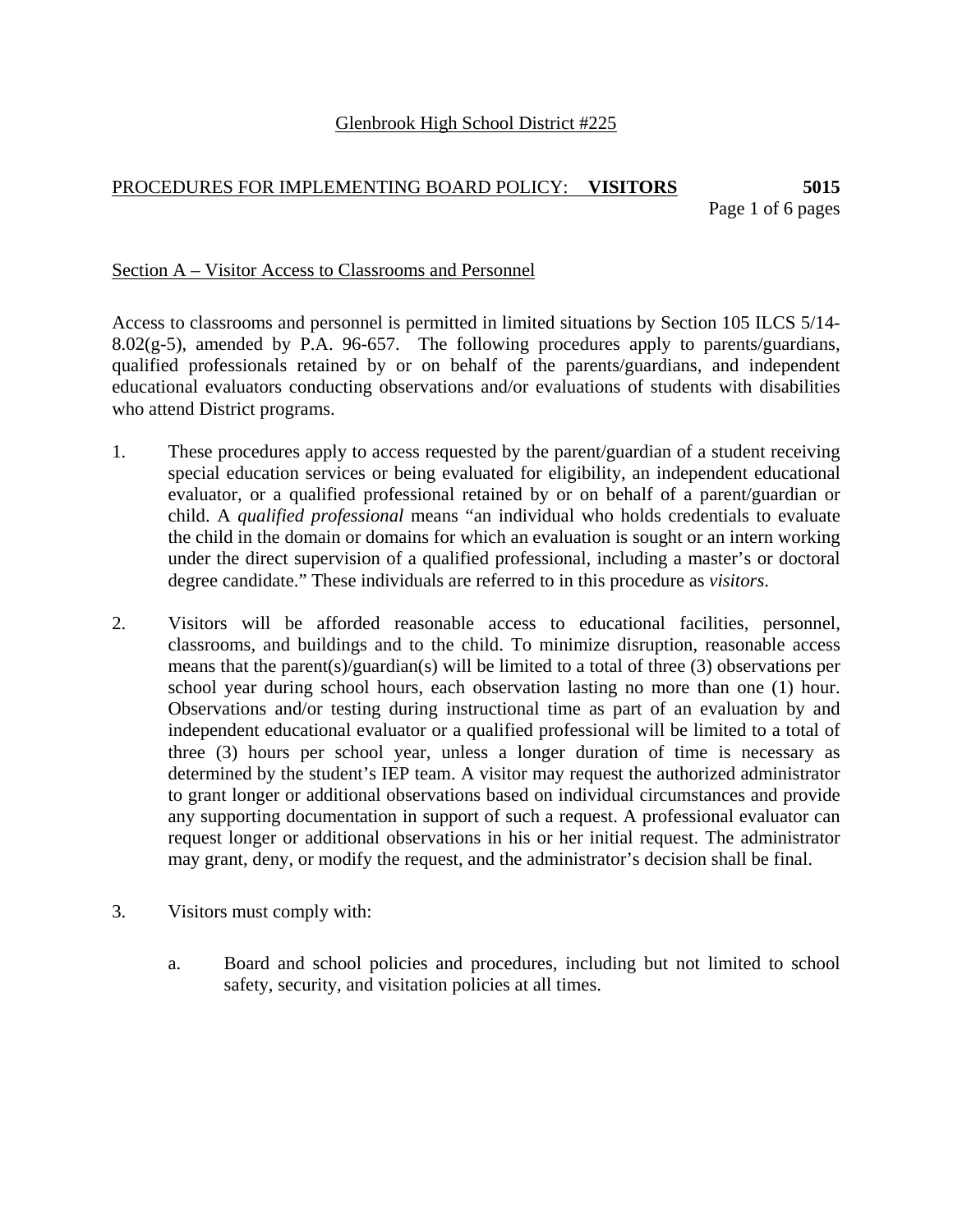## PROCEDURES FOR IMPLEMENTING BOARD POLICY: **VISITORS 5015**  Page 1 of 6 pages

### Section A – Visitor Access to Classrooms and Personnel

Access to classrooms and personnel is permitted in limited situations by Section 105 ILCS 5/14- 8.02 $(g-5)$ , amended by P.A. 96-657. The following procedures apply to parents/guardians, qualified professionals retained by or on behalf of the parents/guardians, and independent educational evaluators conducting observations and/or evaluations of students with disabilities who attend District programs.

- 1. These procedures apply to access requested by the parent/guardian of a student receiving special education services or being evaluated for eligibility, an independent educational evaluator, or a qualified professional retained by or on behalf of a parent/guardian or child. A *qualified professional* means "an individual who holds credentials to evaluate the child in the domain or domains for which an evaluation is sought or an intern working under the direct supervision of a qualified professional, including a master's or doctoral degree candidate." These individuals are referred to in this procedure as *visitors*.
- 2. Visitors will be afforded reasonable access to educational facilities, personnel, classrooms, and buildings and to the child. To minimize disruption, reasonable access means that the parent(s)/guardian(s) will be limited to a total of three (3) observations per school year during school hours, each observation lasting no more than one (1) hour. Observations and/or testing during instructional time as part of an evaluation by and independent educational evaluator or a qualified professional will be limited to a total of three (3) hours per school year, unless a longer duration of time is necessary as determined by the student's IEP team. A visitor may request the authorized administrator to grant longer or additional observations based on individual circumstances and provide any supporting documentation in support of such a request. A professional evaluator can request longer or additional observations in his or her initial request. The administrator may grant, deny, or modify the request, and the administrator's decision shall be final.
- 3. Visitors must comply with:
	- a. Board and school policies and procedures, including but not limited to school safety, security, and visitation policies at all times.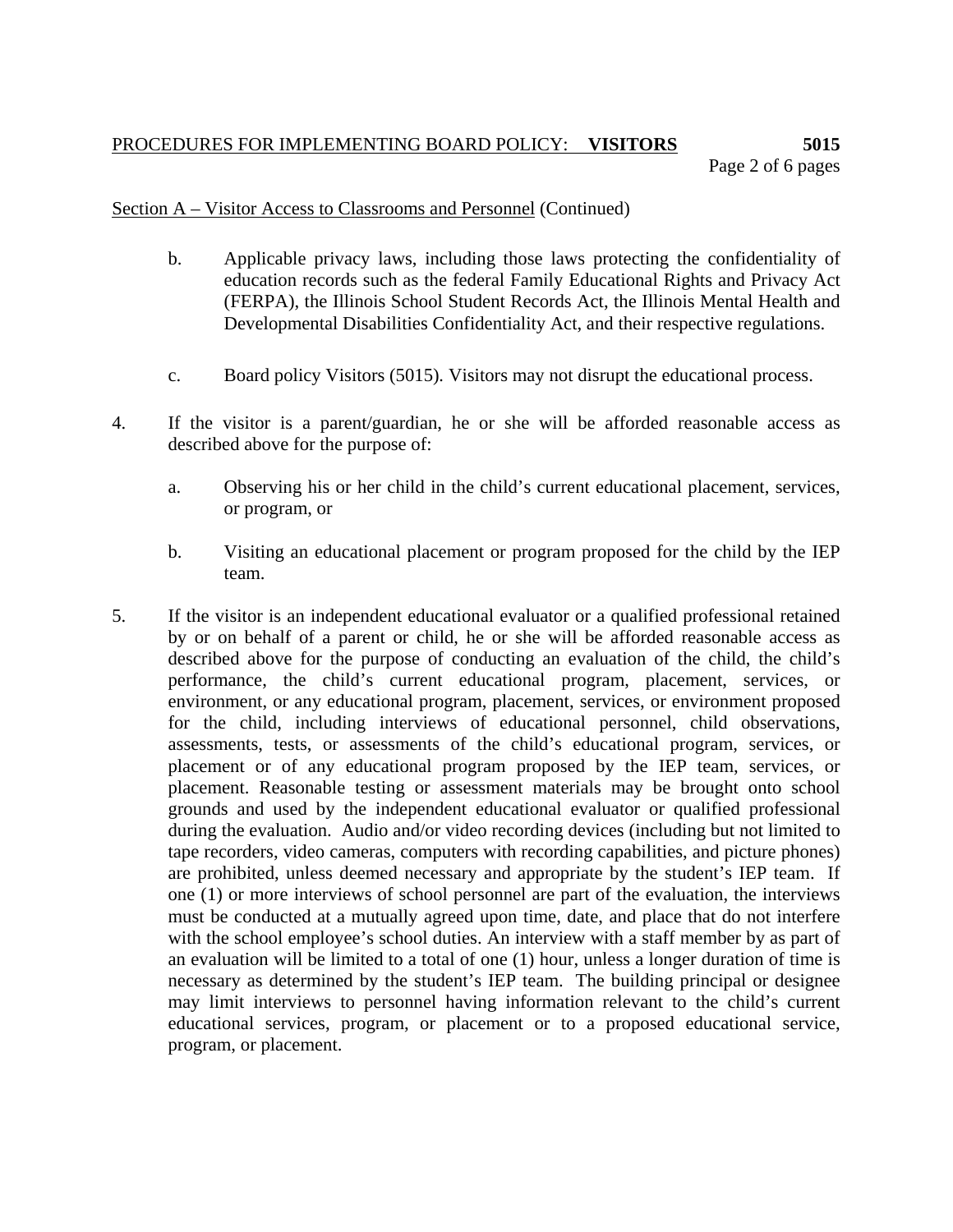# PROCEDURES FOR IMPLEMENTING BOARD POLICY: **VISITORS 5015**  Page 2 of 6 pages

## Section A – Visitor Access to Classrooms and Personnel (Continued)

- b. Applicable privacy laws, including those laws protecting the confidentiality of education records such as the federal Family Educational Rights and Privacy Act (FERPA), the Illinois School Student Records Act, the Illinois Mental Health and Developmental Disabilities Confidentiality Act, and their respective regulations.
- c. Board policy Visitors (5015)*.* Visitors may not disrupt the educational process.
- 4. If the visitor is a parent/guardian, he or she will be afforded reasonable access as described above for the purpose of:
	- a. Observing his or her child in the child's current educational placement, services, or program, or
	- b. Visiting an educational placement or program proposed for the child by the IEP team.
- 5. If the visitor is an independent educational evaluator or a qualified professional retained by or on behalf of a parent or child, he or she will be afforded reasonable access as described above for the purpose of conducting an evaluation of the child, the child's performance, the child's current educational program, placement, services, or environment, or any educational program, placement, services, or environment proposed for the child, including interviews of educational personnel, child observations, assessments, tests, or assessments of the child's educational program, services, or placement or of any educational program proposed by the IEP team, services, or placement. Reasonable testing or assessment materials may be brought onto school grounds and used by the independent educational evaluator or qualified professional during the evaluation. Audio and/or video recording devices (including but not limited to tape recorders, video cameras, computers with recording capabilities, and picture phones) are prohibited, unless deemed necessary and appropriate by the student's IEP team. If one (1) or more interviews of school personnel are part of the evaluation, the interviews must be conducted at a mutually agreed upon time, date, and place that do not interfere with the school employee's school duties. An interview with a staff member by as part of an evaluation will be limited to a total of one (1) hour, unless a longer duration of time is necessary as determined by the student's IEP team. The building principal or designee may limit interviews to personnel having information relevant to the child's current educational services, program, or placement or to a proposed educational service, program, or placement.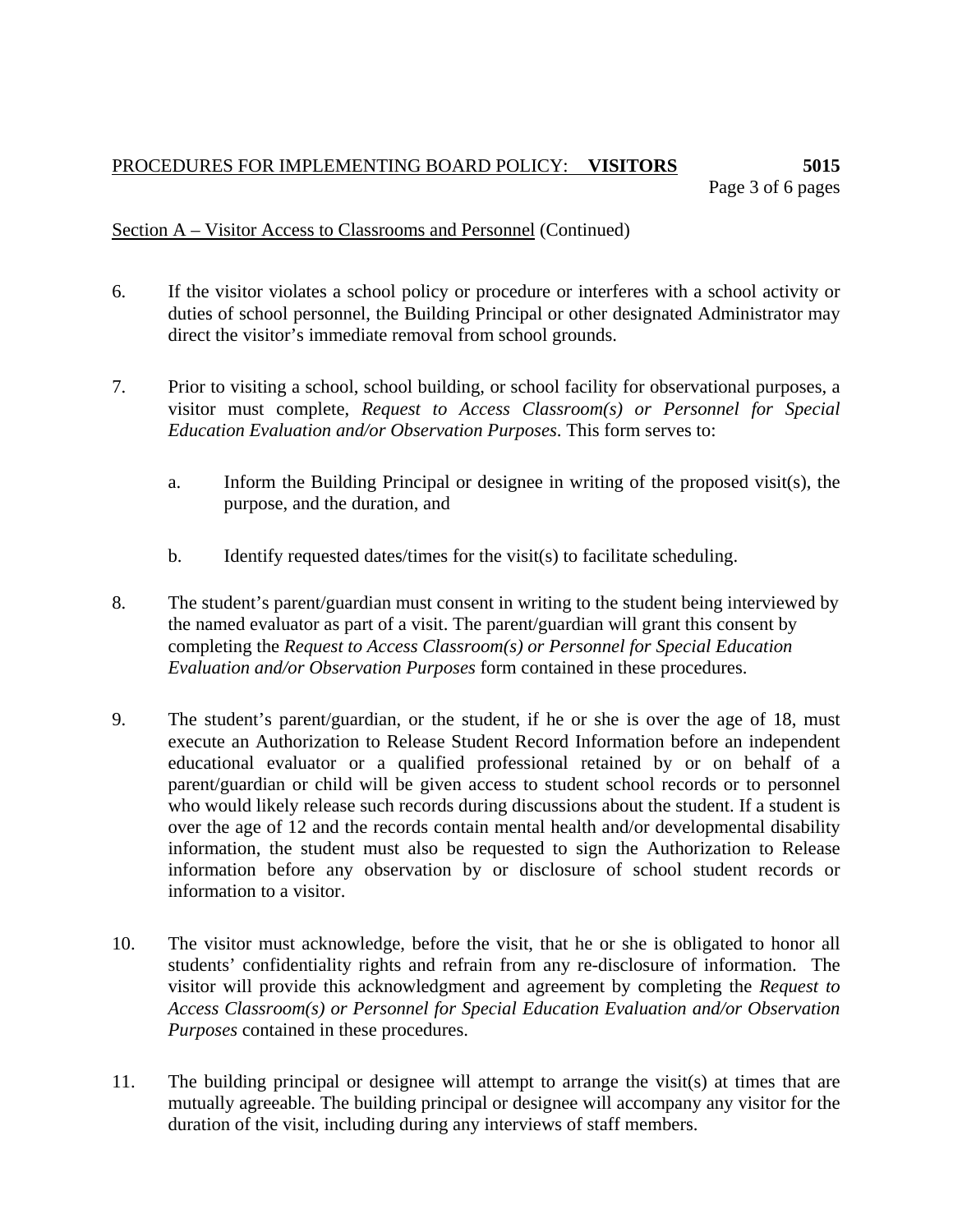## PROCEDURES FOR IMPLEMENTING BOARD POLICY: **VISITORS 5015**  Page 3 of 6 pages

# Section A – Visitor Access to Classrooms and Personnel (Continued)

- 6. If the visitor violates a school policy or procedure or interferes with a school activity or duties of school personnel, the Building Principal or other designated Administrator may direct the visitor's immediate removal from school grounds.
- 7. Prior to visiting a school, school building, or school facility for observational purposes, a visitor must complete, *Request to Access Classroom(s) or Personnel for Special Education Evaluation and/or Observation Purposes*. This form serves to:
	- a. Inform the Building Principal or designee in writing of the proposed visit(s), the purpose, and the duration, and
	- b. Identify requested dates/times for the visit(s) to facilitate scheduling.
- 8. The student's parent/guardian must consent in writing to the student being interviewed by the named evaluator as part of a visit. The parent/guardian will grant this consent by completing the *Request to Access Classroom(s) or Personnel for Special Education Evaluation and/or Observation Purposes* form contained in these procedures.
- 9. The student's parent/guardian, or the student, if he or she is over the age of 18, must execute an Authorization to Release Student Record Information before an independent educational evaluator or a qualified professional retained by or on behalf of a parent/guardian or child will be given access to student school records or to personnel who would likely release such records during discussions about the student. If a student is over the age of 12 and the records contain mental health and/or developmental disability information, the student must also be requested to sign the Authorization to Release information before any observation by or disclosure of school student records or information to a visitor.
- 10. The visitor must acknowledge, before the visit, that he or she is obligated to honor all students' confidentiality rights and refrain from any re-disclosure of information. The visitor will provide this acknowledgment and agreement by completing the *Request to Access Classroom(s) or Personnel for Special Education Evaluation and/or Observation Purposes* contained in these procedures.
- 11. The building principal or designee will attempt to arrange the visit(s) at times that are mutually agreeable. The building principal or designee will accompany any visitor for the duration of the visit, including during any interviews of staff members.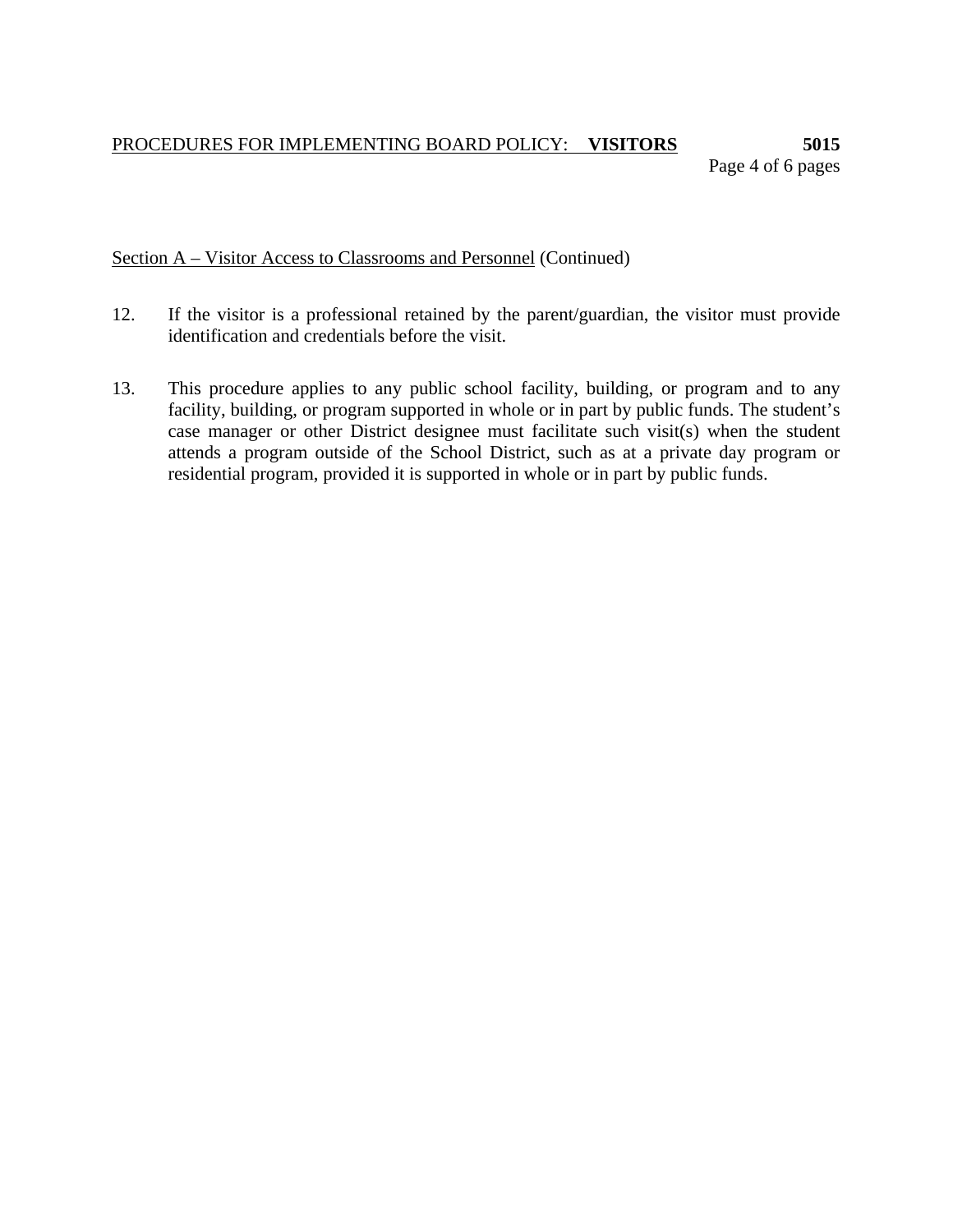# PROCEDURES FOR IMPLEMENTING BOARD POLICY: **VISITORS 5015**  Page 4 of 6 pages

Section A – Visitor Access to Classrooms and Personnel (Continued)

- 12. If the visitor is a professional retained by the parent/guardian, the visitor must provide identification and credentials before the visit.
- 13. This procedure applies to any public school facility, building, or program and to any facility, building, or program supported in whole or in part by public funds. The student's case manager or other District designee must facilitate such visit(s) when the student attends a program outside of the School District, such as at a private day program or residential program, provided it is supported in whole or in part by public funds.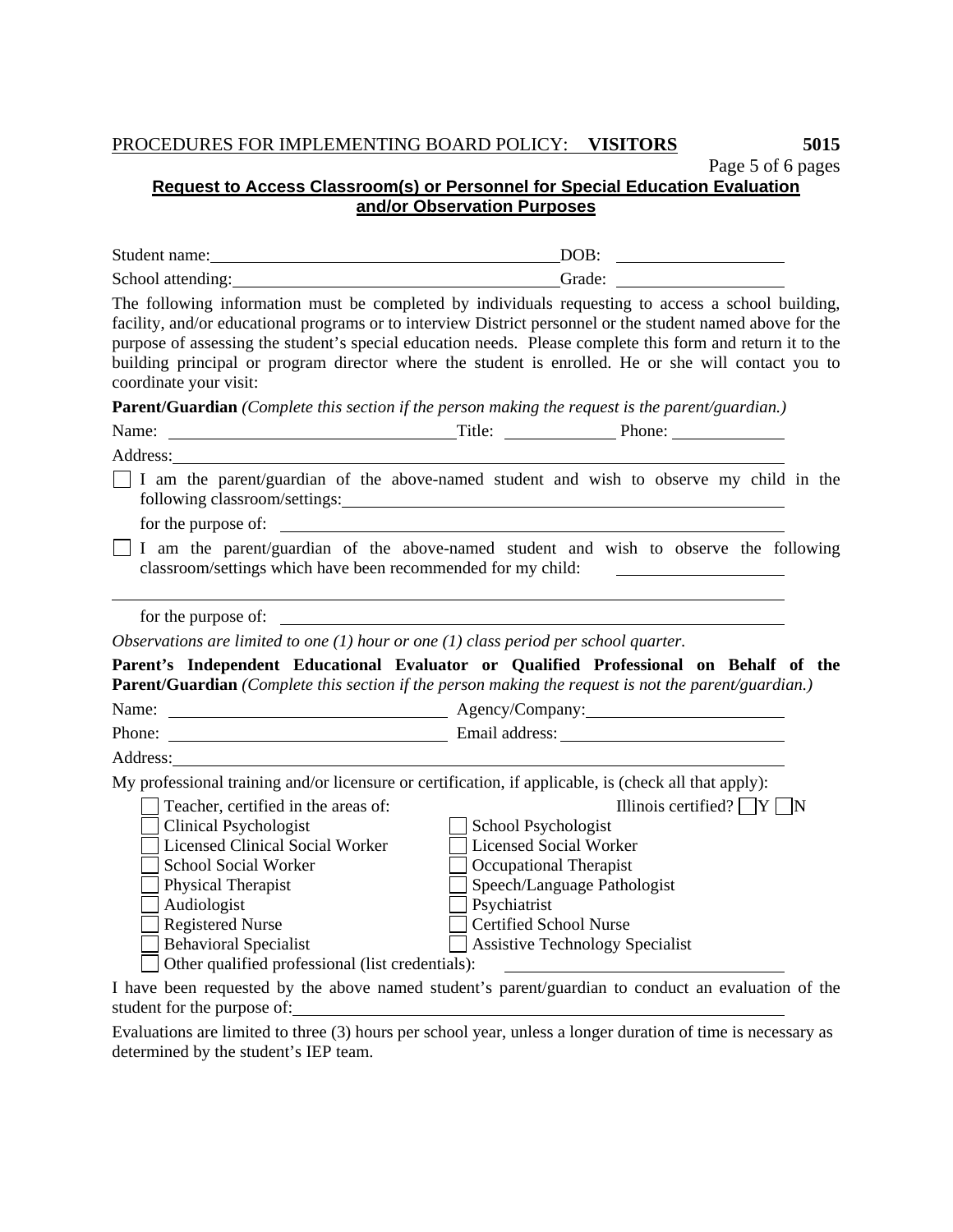## PROCEDURES FOR IMPLEMENTING BOARD POLICY: **VISITORS 5015**

Page 5 of 6 pages **Request to Access Classroom(s) or Personnel for Special Education Evaluation**

**and/or Observation Purposes**

| Student name:                                                                                                                                                                                                                                                                             | DOB:                                                                                                                                                                                                                                                                                                                                                                                                                                   |
|-------------------------------------------------------------------------------------------------------------------------------------------------------------------------------------------------------------------------------------------------------------------------------------------|----------------------------------------------------------------------------------------------------------------------------------------------------------------------------------------------------------------------------------------------------------------------------------------------------------------------------------------------------------------------------------------------------------------------------------------|
| School attending:                                                                                                                                                                                                                                                                         | Grade:                                                                                                                                                                                                                                                                                                                                                                                                                                 |
| coordinate your visit:                                                                                                                                                                                                                                                                    | The following information must be completed by individuals requesting to access a school building,<br>facility, and/or educational programs or to interview District personnel or the student named above for the<br>purpose of assessing the student's special education needs. Please complete this form and return it to the<br>building principal or program director where the student is enrolled. He or she will contact you to |
|                                                                                                                                                                                                                                                                                           | <b>Parent/Guardian</b> (Complete this section if the person making the request is the parent/guardian.)                                                                                                                                                                                                                                                                                                                                |
|                                                                                                                                                                                                                                                                                           |                                                                                                                                                                                                                                                                                                                                                                                                                                        |
| Address:                                                                                                                                                                                                                                                                                  |                                                                                                                                                                                                                                                                                                                                                                                                                                        |
|                                                                                                                                                                                                                                                                                           | I am the parent/guardian of the above-named student and wish to observe my child in the                                                                                                                                                                                                                                                                                                                                                |
| classroom/settings which have been recommended for my child:                                                                                                                                                                                                                              | I am the parent/guardian of the above-named student and wish to observe the following                                                                                                                                                                                                                                                                                                                                                  |
| for the purpose of:                                                                                                                                                                                                                                                                       |                                                                                                                                                                                                                                                                                                                                                                                                                                        |
|                                                                                                                                                                                                                                                                                           | Observations are limited to one $(1)$ hour or one $(1)$ class period per school quarter.                                                                                                                                                                                                                                                                                                                                               |
|                                                                                                                                                                                                                                                                                           | Parent's Independent Educational Evaluator or Qualified Professional on Behalf of the<br>Parent/Guardian (Complete this section if the person making the request is not the parent/guardian.)                                                                                                                                                                                                                                          |
|                                                                                                                                                                                                                                                                                           |                                                                                                                                                                                                                                                                                                                                                                                                                                        |
|                                                                                                                                                                                                                                                                                           |                                                                                                                                                                                                                                                                                                                                                                                                                                        |
| Address:                                                                                                                                                                                                                                                                                  |                                                                                                                                                                                                                                                                                                                                                                                                                                        |
|                                                                                                                                                                                                                                                                                           | My professional training and/or licensure or certification, if applicable, is (check all that apply):                                                                                                                                                                                                                                                                                                                                  |
| Teacher, certified in the areas of:<br><b>Clinical Psychologist</b><br><b>Licensed Clinical Social Worker</b><br>School Social Worker<br>Physical Therapist<br>Audiologist<br><b>Registered Nurse</b><br><b>Behavioral Specialist</b><br>Other qualified professional (list credentials): | Illinois certified? $\Box Y \Box N$<br>School Psychologist<br><b>Licensed Social Worker</b><br>Occupational Therapist<br>Speech/Language Pathologist<br>Psychiatrist<br><b>Certified School Nurse</b><br><b>Assistive Technology Specialist</b>                                                                                                                                                                                        |
|                                                                                                                                                                                                                                                                                           | I have been proposed the depth of the species of $A_1, A_2, \ldots, A_n$ and $A_1, \ldots, A_n$ are depth of $A_1, \ldots, A_n$                                                                                                                                                                                                                                                                                                        |

I have been requested by the above named student's parent/guardian to conduct an evaluation of the student for the purpose of:

Evaluations are limited to three (3) hours per school year, unless a longer duration of time is necessary as determined by the student's IEP team.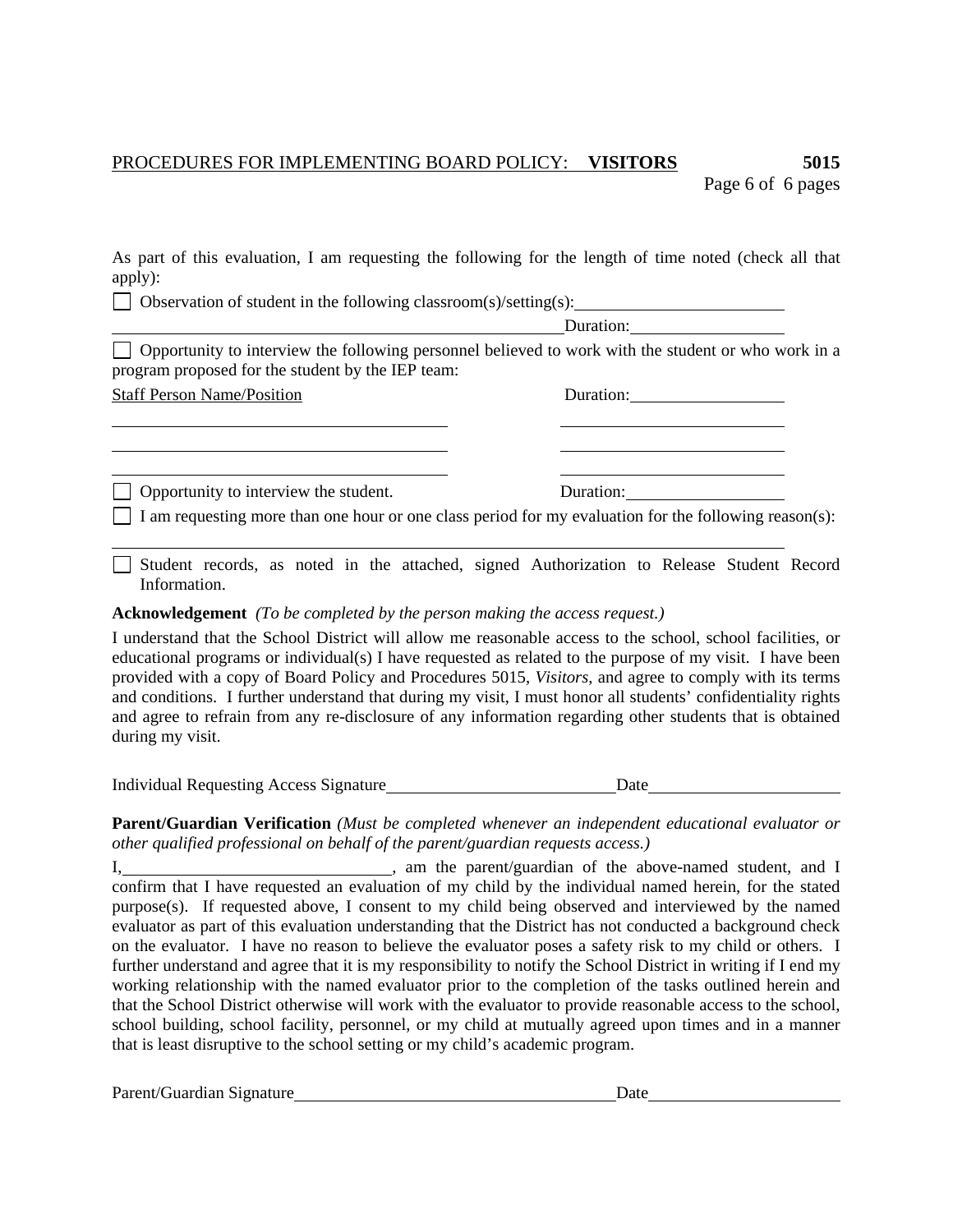## PROCEDURES FOR IMPLEMENTING BOARD POLICY: **VISITORS 5015**  Page 6 of 6 pages

As part of this evaluation, I am requesting the following for the length of time noted (check all that apply):

 $\Box$  Observation of student in the following classroom(s)/setting(s):

Duration:

 $\Box$  Opportunity to interview the following personnel believed to work with the student or who work in a program proposed for the student by the IEP team:

|  | <b>Staff Person Name/Position</b> |
|--|-----------------------------------|
|  |                                   |

| <b>Staff Person Name/Position</b>            | Duration:                                                                                                    |  |
|----------------------------------------------|--------------------------------------------------------------------------------------------------------------|--|
|                                              |                                                                                                              |  |
|                                              |                                                                                                              |  |
| $\Box$ Opportunity to interview the student. | Duration:                                                                                                    |  |
|                                              | $\Box$ I am requesting more than one hour or one class period for my evaluation for the following reason(s): |  |

Student records, as noted in the attached, signed Authorization to Release Student Record Information.

## **Acknowledgement** *(To be completed by the person making the access request.)*

I understand that the School District will allow me reasonable access to the school, school facilities, or educational programs or individual(s) I have requested as related to the purpose of my visit. I have been provided with a copy of Board Policy and Procedures 5015, *Visitors*, and agree to comply with its terms and conditions. I further understand that during my visit, I must honor all students' confidentiality rights and agree to refrain from any re-disclosure of any information regarding other students that is obtained during my visit.

Individual Requesting Access Signature Date Date

**Parent/Guardian Verification** *(Must be completed whenever an independent educational evaluator or other qualified professional on behalf of the parent/guardian requests access.)* 

I, 1. 1. 1. The parent/guardian of the above-named student, and I allows are student and I confirm that I have requested an evaluation of my child by the individual named herein, for the stated purpose(s). If requested above, I consent to my child being observed and interviewed by the named evaluator as part of this evaluation understanding that the District has not conducted a background check on the evaluator. I have no reason to believe the evaluator poses a safety risk to my child or others. I further understand and agree that it is my responsibility to notify the School District in writing if I end my working relationship with the named evaluator prior to the completion of the tasks outlined herein and that the School District otherwise will work with the evaluator to provide reasonable access to the school, school building, school facility, personnel, or my child at mutually agreed upon times and in a manner that is least disruptive to the school setting or my child's academic program.

Parent/Guardian Signature Date